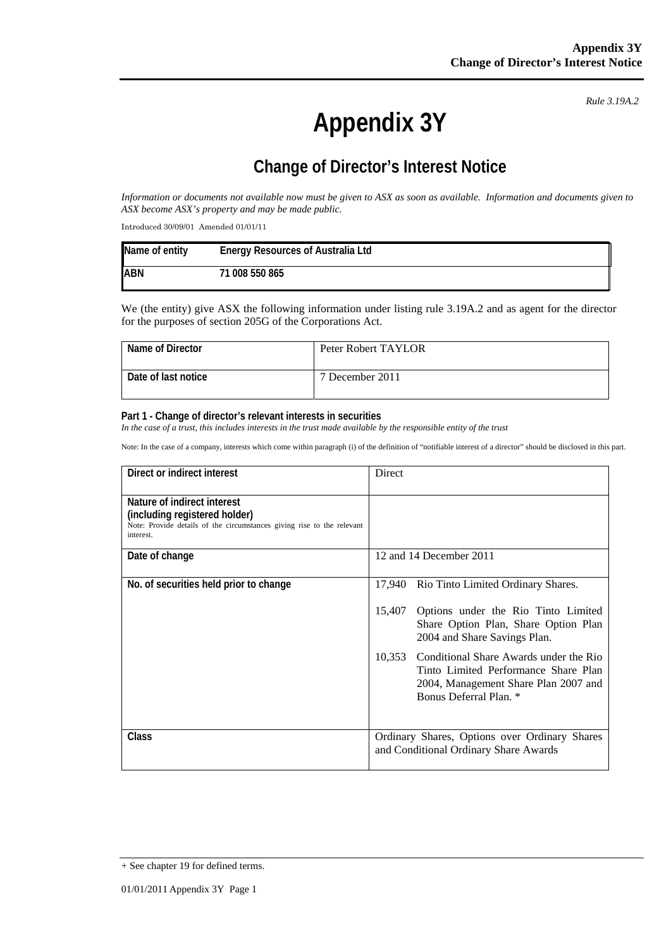*Rule 3.19A.2*

# **Appendix 3Y**

## **Change of Director's Interest Notice**

*Information or documents not available now must be given to ASX as soon as available. Information and documents given to ASX become ASX's property and may be made public.* 

Introduced 30/09/01 Amended 01/01/11

| Name of entity | <b>Energy Resources of Australia Ltd</b> |
|----------------|------------------------------------------|
| <b>ABN</b>     | 71 008 550 865                           |

We (the entity) give ASX the following information under listing rule 3.19A.2 and as agent for the director for the purposes of section 205G of the Corporations Act.

| Name of Director    | Peter Robert TAYLOR |
|---------------------|---------------------|
| Date of last notice | 7 December 2011     |

#### **Part 1 - Change of director's relevant interests in securities**

*In the case of a trust, this includes interests in the trust made available by the responsible entity of the trust* 

Note: In the case of a company, interests which come within paragraph (i) of the definition of "notifiable interest of a director" should be disclosed in this part.

| Direct or indirect interest                                                                                                                         | Direct                                                                                                                                                     |
|-----------------------------------------------------------------------------------------------------------------------------------------------------|------------------------------------------------------------------------------------------------------------------------------------------------------------|
| Nature of indirect interest<br>(including registered holder)<br>Note: Provide details of the circumstances giving rise to the relevant<br>interest. |                                                                                                                                                            |
| Date of change                                                                                                                                      | 12 and 14 December 2011                                                                                                                                    |
| No. of securities held prior to change                                                                                                              | 17,940 Rio Tinto Limited Ordinary Shares.                                                                                                                  |
|                                                                                                                                                     | Options under the Rio Tinto Limited<br>15,407<br>Share Option Plan, Share Option Plan<br>2004 and Share Savings Plan.                                      |
|                                                                                                                                                     | Conditional Share Awards under the Rio<br>10,353<br>Tinto Limited Performance Share Plan<br>2004, Management Share Plan 2007 and<br>Bonus Deferral Plan. * |
| <b>Class</b>                                                                                                                                        | Ordinary Shares, Options over Ordinary Shares<br>and Conditional Ordinary Share Awards                                                                     |

<sup>+</sup> See chapter 19 for defined terms.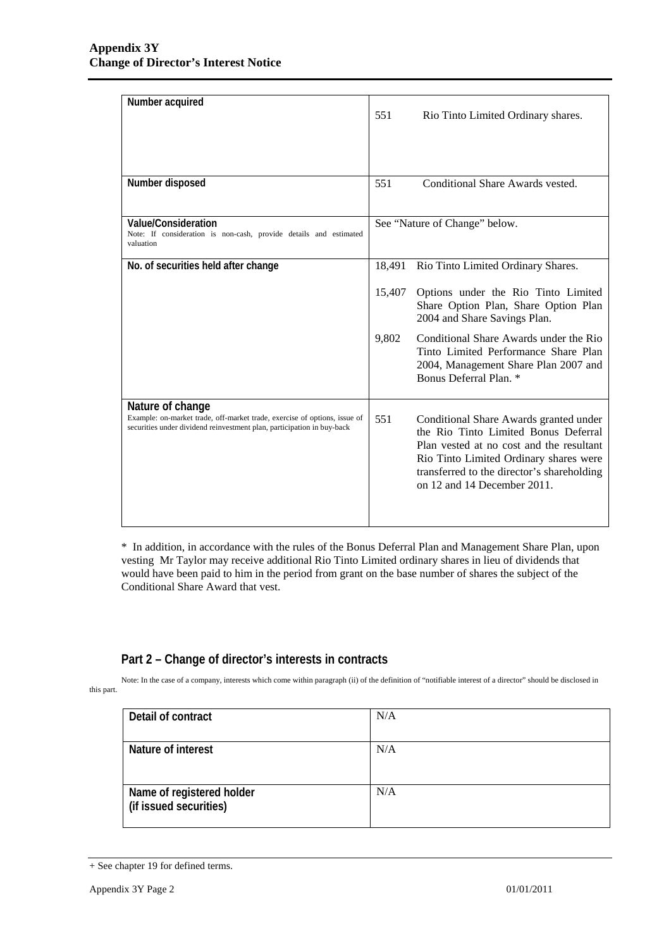| Number acquired                                                                                                                                                         |        | Rio Tinto Limited Ordinary shares.                                                                                                                                                                                                                |
|-------------------------------------------------------------------------------------------------------------------------------------------------------------------------|--------|---------------------------------------------------------------------------------------------------------------------------------------------------------------------------------------------------------------------------------------------------|
|                                                                                                                                                                         |        |                                                                                                                                                                                                                                                   |
| Number disposed                                                                                                                                                         | 551    | Conditional Share Awards vested.                                                                                                                                                                                                                  |
| <b>Value/Consideration</b><br>Note: If consideration is non-cash, provide details and estimated<br>valuation                                                            |        | See "Nature of Change" below.                                                                                                                                                                                                                     |
| No. of securities held after change                                                                                                                                     | 18,491 | Rio Tinto Limited Ordinary Shares.                                                                                                                                                                                                                |
|                                                                                                                                                                         | 15,407 | Options under the Rio Tinto Limited<br>Share Option Plan, Share Option Plan<br>2004 and Share Savings Plan.                                                                                                                                       |
|                                                                                                                                                                         | 9,802  | Conditional Share Awards under the Rio<br>Tinto Limited Performance Share Plan<br>2004, Management Share Plan 2007 and<br>Bonus Deferral Plan. *                                                                                                  |
| Nature of change<br>Example: on-market trade, off-market trade, exercise of options, issue of<br>securities under dividend reinvestment plan, participation in buy-back | 551    | Conditional Share Awards granted under<br>the Rio Tinto Limited Bonus Deferral<br>Plan vested at no cost and the resultant<br>Rio Tinto Limited Ordinary shares were<br>transferred to the director's shareholding<br>on 12 and 14 December 2011. |

\* In addition, in accordance with the rules of the Bonus Deferral Plan and Management Share Plan, upon vesting Mr Taylor may receive additional Rio Tinto Limited ordinary shares in lieu of dividends that would have been paid to him in the period from grant on the base number of shares the subject of the Conditional Share Award that vest.

### **Part 2 – Change of director's interests in contracts**

Note: In the case of a company, interests which come within paragraph (ii) of the definition of "notifiable interest of a director" should be disclosed in this part.

| Detail of contract                                  | N/A |
|-----------------------------------------------------|-----|
| Nature of interest                                  | N/A |
| Name of registered holder<br>(if issued securities) | N/A |

<sup>+</sup> See chapter 19 for defined terms.